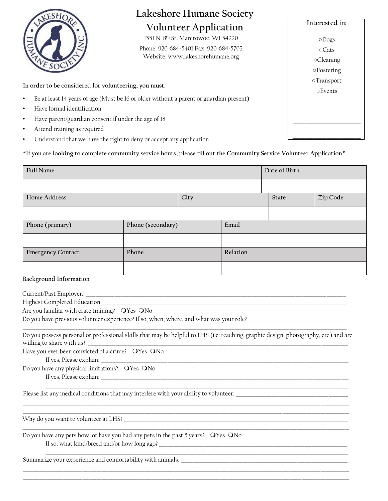

# **Lakeshore Humane Society Volunteer Application**

1551 N. 8th St. Manitowoc, WI 54220

Phone: 920-684-5401 Fax: 920-684-5702 Website: www.lakeshorehumane.org

# **In order to be considered for volunteering, you must:**

- Be at least 14 years of age (Must be 16 or older without a parent or guardian present)
- Have formal identification
- Have parent/guardian consent if under the age of 18
- Attend training as required
- Understand that we have the right to deny or accept any application

**\*If you are looking to complete community service hours, please fill out the Community Service Volunteer Application\***

| <b>Full Name</b>                                                                                                                                                 |                                             |      |          | Date of Birth |          |  |
|------------------------------------------------------------------------------------------------------------------------------------------------------------------|---------------------------------------------|------|----------|---------------|----------|--|
|                                                                                                                                                                  |                                             |      |          |               |          |  |
| <b>Home Address</b>                                                                                                                                              |                                             | City |          | <b>State</b>  | Zip Code |  |
|                                                                                                                                                                  |                                             |      |          |               |          |  |
| Phone (primary)                                                                                                                                                  | Phone (secondary)                           |      | Email    |               |          |  |
|                                                                                                                                                                  |                                             |      |          |               |          |  |
| <b>Emergency Contact</b>                                                                                                                                         | Phone                                       |      | Relation |               |          |  |
|                                                                                                                                                                  |                                             |      |          |               |          |  |
| <b>Background Information</b>                                                                                                                                    |                                             |      |          |               |          |  |
|                                                                                                                                                                  |                                             |      |          |               |          |  |
| Highest Completed Education: National According of the Complete Section 2014 and 2014 and 2014 and 2014 and 20                                                   |                                             |      |          |               |          |  |
| Are you familiar with crate training? OYes ONo                                                                                                                   |                                             |      |          |               |          |  |
| Do you have previous volunteer experience? If so, when, where, and what was your role?                                                                           |                                             |      |          |               |          |  |
| Do you possess personal or professional skills that may be helpful to LHS (i.e: teaching, graphic design, photography, etc) and are<br>willing to share with us? |                                             |      |          |               |          |  |
| Have you ever been convicted of a crime? OYes ONo<br>If yes, Please explain:                                                                                     |                                             |      |          |               |          |  |
| Do you have any physical limitations? OYes ONo                                                                                                                   |                                             |      |          |               |          |  |
| Please list any medical conditions that may interfere with your ability to volunteer:                                                                            |                                             |      |          |               |          |  |
|                                                                                                                                                                  |                                             |      |          |               |          |  |
| Do you have any pets how, or have you had any pets in the past 5 years? OYes ONo                                                                                 |                                             |      |          |               |          |  |
|                                                                                                                                                                  | If so, what kind/breed and/or how long ago? |      |          |               |          |  |
| Summarize your experience and comfortability with animals:                                                                                                       |                                             |      |          |               |          |  |

\_\_\_\_\_\_\_\_\_\_\_\_\_\_\_\_\_\_\_\_\_\_\_\_\_\_\_\_\_\_\_\_\_\_\_\_\_\_\_\_\_\_\_\_\_\_\_\_\_\_\_\_\_\_\_\_\_\_\_\_\_\_\_\_\_\_\_\_\_\_\_\_\_\_\_\_\_\_\_\_\_\_\_\_\_\_\_\_\_\_\_\_\_\_\_\_\_\_\_\_\_\_\_\_\_\_\_\_\_\_\_\_\_\_\_\_\_\_\_\_\_\_\_\_\_\_\_\_\_\_\_\_\_\_\_\_\_ \_\_\_\_\_\_\_\_\_\_\_\_\_\_\_\_\_\_\_\_\_\_\_\_\_\_\_\_\_\_\_\_\_\_\_\_\_\_\_\_\_\_\_\_\_\_\_\_\_\_\_\_\_\_\_\_\_\_\_\_\_\_\_\_\_\_\_\_\_\_\_\_\_\_\_\_\_\_\_\_\_\_\_\_\_\_\_\_\_\_\_\_\_\_\_\_\_\_\_\_\_\_\_\_\_\_\_\_\_\_\_\_\_\_\_\_\_\_\_\_\_\_\_\_\_\_\_\_\_\_\_\_\_\_\_\_\_

| Interested in:    |  |  |  |  |  |  |
|-------------------|--|--|--|--|--|--|
| $\circ$ Dogs      |  |  |  |  |  |  |
| $\circ$ Cats      |  |  |  |  |  |  |
| <b>oCleaning</b>  |  |  |  |  |  |  |
| <b>OFostering</b> |  |  |  |  |  |  |
| <b>Transport</b>  |  |  |  |  |  |  |
| <b>oEvents</b>    |  |  |  |  |  |  |
|                   |  |  |  |  |  |  |
|                   |  |  |  |  |  |  |
|                   |  |  |  |  |  |  |
|                   |  |  |  |  |  |  |